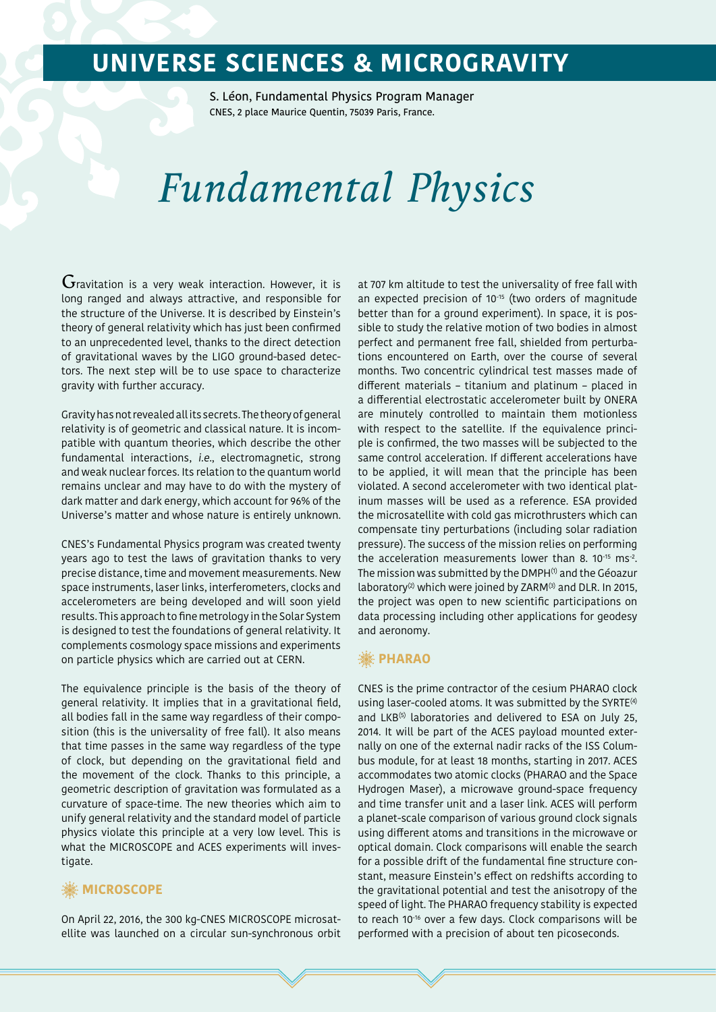## **UNIVERSE SCIENCES & MICROGRAVITY**

S. Léon, Fundamental Physics Program Manager CNES, 2 place Maurice Quentin, 75039 Paris, France.

# *Fundamental Physics*

 $\rm G$ ravitation is a very weak interaction. However, it is long ranged and always attractive, and responsible for the structure of the Universe. It is described by Einstein's theory of general relativity which has just been confirmed to an unprecedented level, thanks to the direct detection of gravitational waves by the LIGO ground-based detectors. The next step will be to use space to characterize gravity with further accuracy.

Gravity has not revealed all its secrets. The theory of general relativity is of geometric and classical nature. It is incompatible with quantum theories, which describe the other fundamental interactions, i.e., electromagnetic, strong and weak nuclear forces. Its relation to the quantum world remains unclear and may have to do with the mystery of dark matter and dark energy, which account for 96% of the Universe's matter and whose nature is entirely unknown.

CNES's Fundamental Physics program was created twenty years ago to test the laws of gravitation thanks to very precise distance, time and movement measurements. New space instruments, laser links, interferometers, clocks and accelerometers are being developed and will soon yield results. This approach to fine metrology in the Solar System is designed to test the foundations of general relativity. It complements cosmology space missions and experiments on particle physics which are carried out at CERN.

The equivalence principle is the basis of the theory of general relativity. It implies that in a gravitational field, all bodies fall in the same way regardless of their composition (this is the universality of free fall). It also means that time passes in the same way regardless of the type of clock, but depending on the gravitational field and the movement of the clock. Thanks to this principle, a geometric description of gravitation was formulated as a curvature of space-time. The new theories which aim to unify general relativity and the standard model of particle physics violate this principle at a very low level. This is what the MICROSCOPE and ACES experiments will investigate.

#### **※ MICROSCOPE**

On April 22, 2016, the 300 kg-CNES MICROSCOPE microsatellite was launched on a circular sun-synchronous orbit at 707 km altitude to test the universality of free fall with an expected precision of 10<sup>-15</sup> (two orders of magnitude better than for a ground experiment). In space, it is possible to study the relative motion of two bodies in almost perfect and permanent free fall, shielded from perturbations encountered on Earth, over the course of several months. Two concentric cylindrical test masses made of different materials – titanium and platinum – placed in a differential electrostatic accelerometer built by ONERA are minutely controlled to maintain them motionless with respect to the satellite. If the equivalence principle is confirmed, the two masses will be subjected to the same control acceleration. If different accelerations have to be applied, it will mean that the principle has been violated. A second accelerometer with two identical platinum masses will be used as a reference. ESA provided the microsatellite with cold gas microthrusters which can compensate tiny perturbations (including solar radiation pressure). The success of the mission relies on performing the acceleration measurements lower than 8. 10<sup>-15</sup> ms<sup>-2</sup>. The mission was submitted by the DMPH<sup>(1)</sup> and the Géoazur laboratory<sup>(2)</sup> which were joined by ZARM<sup>(3)</sup> and DLR. In 2015, the project was open to new scientific participations on data processing including other applications for geodesy and aeronomy.

#### **※ PHARAO**

CNES is the prime contractor of the cesium PHARAO clock using laser-cooled atoms. It was submitted by the SYRTE<sup>(4)</sup> and LKB<sup>(5)</sup> laboratories and delivered to ESA on July 25, 2014. It will be part of the ACES payload mounted externally on one of the external nadir racks of the ISS Columbus module, for at least 18 months, starting in 2017. ACES accommodates two atomic clocks (PHARAO and the Space Hydrogen Maser), a microwave ground-space frequency and time transfer unit and a laser link. ACES will perform a planet-scale comparison of various ground clock signals using different atoms and transitions in the microwave or optical domain. Clock comparisons will enable the search for a possible drift of the fundamental fine structure constant, measure Einstein's effect on redshifts according to the gravitational potential and test the anisotropy of the speed of light. The PHARAO frequency stability is expected to reach 10-16 over a few days. Clock comparisons will be performed with a precision of about ten picoseconds.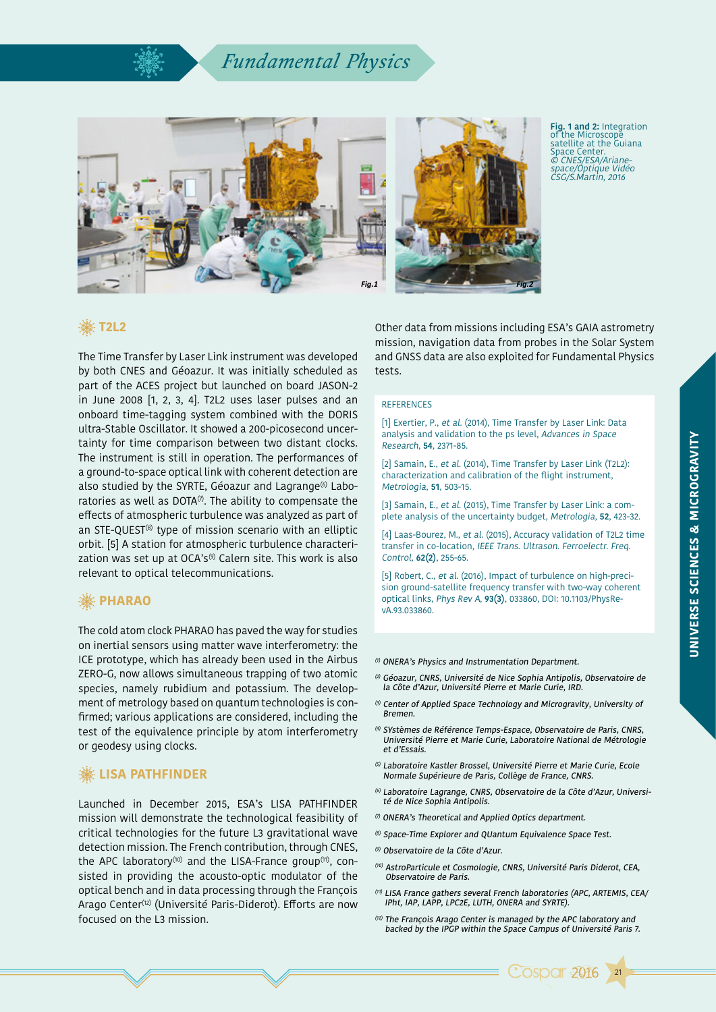## *Fundamental Physics*



**Fig. 1 and 2:** Integration of the Microscope satellite at the Guiana Space Center. © CNES/ESA/Ariane space/Optique Vidéo CSG/S.Martin, 2016

### **T2L2**

The Time Transfer by Laser Link instrument was developed by both CNES and Géoazur. It was initially scheduled as part of the ACES project but launched on board JASON-2 in June 2008 [1, 2, 3, 4]. T2L2 uses laser pulses and an onboard time-tagging system combined with the DORIS ultra-Stable Oscillator. It showed a 200-picosecond uncertainty for time comparison between two distant clocks. The instrument is still in operation. The performances of a ground-to-space optical link with coherent detection are also studied by the SYRTE, Géoazur and Lagrange<sup>(6)</sup> Laboratories as well as DOTA $(7)$ . The ability to compensate the effects of atmospheric turbulence was analyzed as part of an STE-QUEST<sup>(8)</sup> type of mission scenario with an elliptic orbit. [5] A station for atmospheric turbulence characterization was set up at OCA's $(9)$  Calern site. This work is also relevant to optical telecommunications.

### **※PHARAO**

The cold atom clock PHARAO has paved the way for studies on inertial sensors using matter wave interferometry: the ICE prototype, which has already been used in the Airbus ZERO-G, now allows simultaneous trapping of two atomic species, namely rubidium and potassium. The development of metrology based on quantum technologies is confirmed; various applications are considered, including the test of the equivalence principle by atom interferometry or geodesy using clocks.

### **. ... LISA PATHFINDER**

Launched in December 2015, ESA's LISA PATHFINDER mission will demonstrate the technological feasibility of critical technologies for the future L3 gravitational wave detection mission. The French contribution, through CNES, the APC laboratory<sup>(10)</sup> and the LISA-France group<sup>(11)</sup>, consisted in providing the acousto-optic modulator of the optical bench and in data processing through the François Arago Center(12) (Université Paris-Diderot). Efforts are now focused on the L3 mission.

Other data from missions including ESA's GAIA astrometry mission, navigation data from probes in the Solar System and GNSS data are also exploited for Fundamental Physics tests.

#### **REFERENCES**

[1] Exertier, P., et al. (2014), Time Transfer by Laser Link: Data analysis and validation to the ps level, Advances in Space Research, **54**, 2371-85.

[2] Samain, E., et al. (2014), Time Transfer by Laser Link (T2L2): characterization and calibration of the flight instrument, Metrologia, **51**, 503-15.

[3] Samain, E., et al. (2015), Time Transfer by Laser Link: a complete analysis of the uncertainty budget, Metrologia, **52**, 423-32.

[4] Laas-Bourez, M., et al. (2015), Accuracy validation of T2L2 time transfer in co-location, IEEE Trans. Ultrason. Ferroelectr. Freq. Control, **62(2)**, 255-65.

[5] Robert, C., et al. (2016), Impact of turbulence on high-precision ground-satellite frequency transfer with two-way coherent optical links, Phys Rev A, **93(3)**, 033860, DOI: 10.1103/PhysRevA.93.033860.

#### (1) ONERA's Physics and Instrumentation Department.

- (2) Géoazur, CNRS, Université de Nice Sophia Antipolis, Observatoire de la Côte d'Azur, Université Pierre et Marie Curie, IRD.
- (3) Center of Applied Space Technology and Microgravity, University of Bremen.
- (4) SYstèmes de Référence Temps-Espace, Observatoire de Paris, CNRS, Université Pierre et Marie Curie, Laboratoire National de Métrologie et d'Essais.
- (5) Laboratoire Kastler Brossel, Université Pierre et Marie Curie, Ecole Normale Supérieure de Paris, Collège de France, CNRS.
- (6) Laboratoire Lagrange, CNRS, Observatoire de la Côte d'Azur, Université de Nice Sophia Antipolis.
- (7) ONERA's Theoretical and Applied Optics department.
- (8) Space-Time Explorer and QUantum Equivalence Space Test.
- (9) Observatoire de la Côte d'Azur.
- (10) AstroParticule et Cosmologie, CNRS, Université Paris Diderot, CEA, Observatoire de Paris.
- (11) LISA France gathers several French laboratories (APC, ARTEMIS, CEA/ IPht, IAP, LAPP, LPC2E, LUTH, ONERA and SYRTE).
- (12) The François Arago Center is managed by the APC laboratory and backed by the IPGP within the Space Campus of Université Paris 7.



21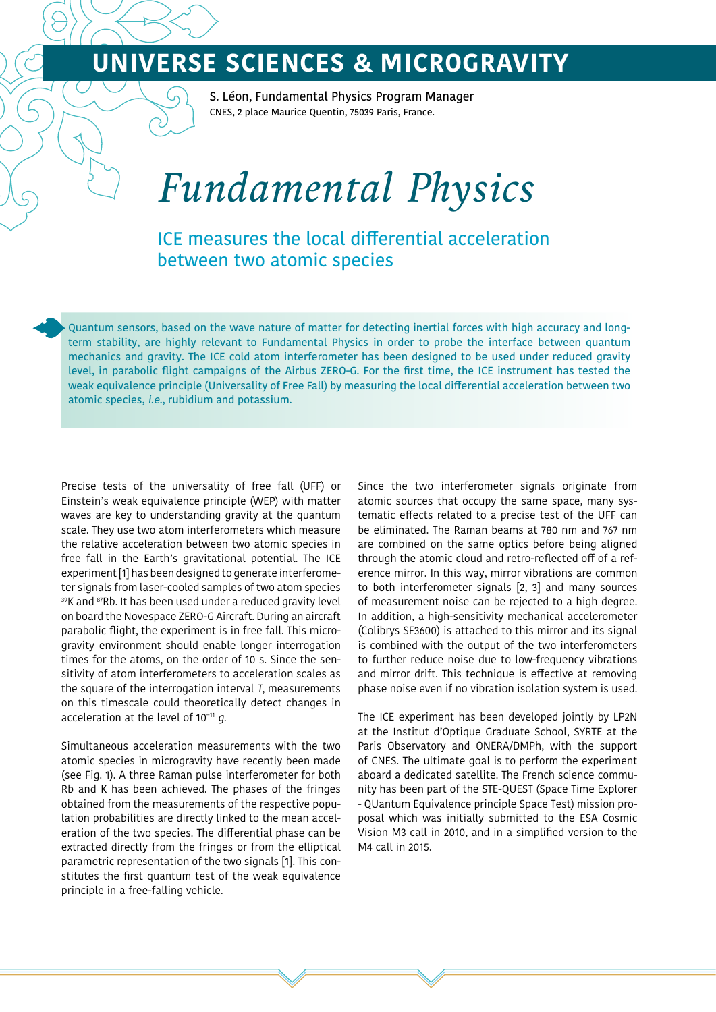## **UNIVERSE SCIENCES & MICROGRAVITY**

S. Léon, Fundamental Physics Program Manager CNES, 2 place Maurice Quentin, 75039 Paris, France.

# *Fundamental Physics*

ICE measures the local differential acceleration between two atomic species

Quantum sensors, based on the wave nature of matter for detecting inertial forces with high accuracy and longterm stability, are highly relevant to Fundamental Physics in order to probe the interface between quantum mechanics and gravity. The ICE cold atom interferometer has been designed to be used under reduced gravity level, in parabolic flight campaigns of the Airbus ZERO-G. For the first time, the ICE instrument has tested the weak equivalence principle (Universality of Free Fall) by measuring the local differential acceleration between two atomic species, i.e., rubidium and potassium.

Precise tests of the universality of free fall (UFF) or Einstein's weak equivalence principle (WEP) with matter waves are key to understanding gravity at the quantum scale. They use two atom interferometers which measure the relative acceleration between two atomic species in free fall in the Earth's gravitational potential. The ICE experiment [1] has been designed to generate interferometer signals from laser-cooled samples of two atom species 39K and 87Rb. It has been used under a reduced gravity level on board the Novespace ZERO-G Aircraft. During an aircraft parabolic flight, the experiment is in free fall. This microgravity environment should enable longer interrogation times for the atoms, on the order of 10 s. Since the sensitivity of atom interferometers to acceleration scales as the square of the interrogation interval T, measurements on this timescale could theoretically detect changes in acceleration at the level of 10−11 g.

Simultaneous acceleration measurements with the two atomic species in microgravity have recently been made (see Fig. 1). A three Raman pulse interferometer for both Rb and K has been achieved. The phases of the fringes obtained from the measurements of the respective population probabilities are directly linked to the mean acceleration of the two species. The differential phase can be extracted directly from the fringes or from the elliptical parametric representation of the two signals [1]. This constitutes the first quantum test of the weak equivalence principle in a free-falling vehicle.

Since the two interferometer signals originate from atomic sources that occupy the same space, many systematic effects related to a precise test of the UFF can be eliminated. The Raman beams at 780 nm and 767 nm are combined on the same optics before being aligned through the atomic cloud and retro-reflected off of a reference mirror. In this way, mirror vibrations are common to both interferometer signals [2, 3] and many sources of measurement noise can be rejected to a high degree. In addition, a high-sensitivity mechanical accelerometer (Colibrys SF3600) is attached to this mirror and its signal is combined with the output of the two interferometers to further reduce noise due to low-frequency vibrations and mirror drift. This technique is effective at removing phase noise even if no vibration isolation system is used.

The ICE experiment has been developed jointly by LP2N at the Institut d'Optique Graduate School, SYRTE at the Paris Observatory and ONERA/DMPh, with the support of CNES. The ultimate goal is to perform the experiment aboard a dedicated satellite. The French science community has been part of the STE-QUEST (Space Time Explorer - QUantum Equivalence principle Space Test) mission proposal which was initially submitted to the ESA Cosmic Vision M3 call in 2010, and in a simplified version to the M4 call in 2015.